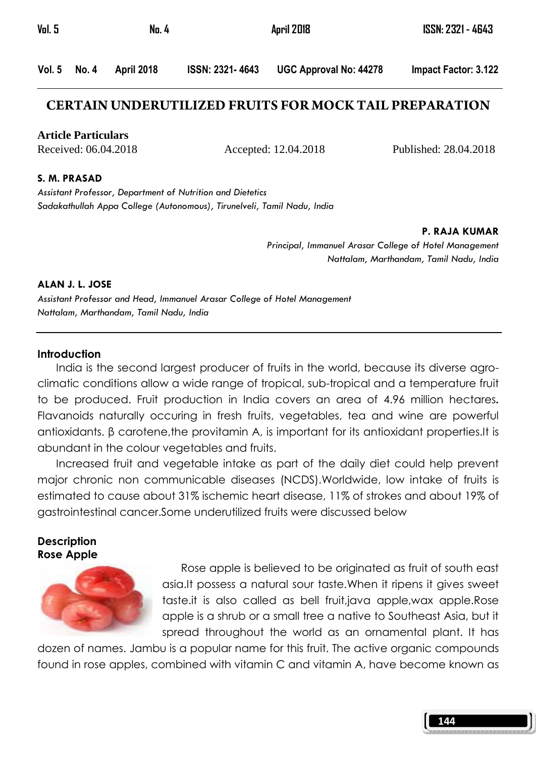| Vol. 5 | No. 4        |            | April 2018             | ISSN: 2321 - 4643             |                      |
|--------|--------------|------------|------------------------|-------------------------------|----------------------|
|        | Vol. 5 No. 4 | April 2018 | <b>ISSN: 2321-4643</b> | <b>UGC Approval No: 44278</b> | Impact Factor: 3.122 |

## **CERTAIN UNDERUTILIZED FRUITS FOR MOCK TAIL PREPARATION**

**Article Particulars**

Received: 06.04.2018 Accepted: 12.04.2018 Published: 28.04.2018

#### S. M. PRASAD

Assistant Professor, Department of Nutrition and Dietetics Sadakathullah Appa College (Autonomous), Tirunelveli, Tamil Nadu, India

P. RAJA KUMAR

Principal, Immanuel Arasar College of Hotel Management Nattalam, Marthandam, Tamil Nadu, India

### ALAN J. L. JOSE

Assistant Professor and Head, Immanuel Arasar College of Hotel Management Nattalam, Marthandam, Tamil Nadu, India

### **Introduction**

India is the second largest producer of fruits in the world, because its diverse agroclimatic conditions allow a wide range of tropical, sub-tropical and a temperature fruit to be produced. Fruit production in India covers an area of 4.96 million hectares. Flavanoids naturally occuring in fresh fruits, vegetables, tea and wine are powerful antioxidants. β carotene,the provitamin A, is important for its antioxidant properties.It is abundant in the colour vegetables and fruits.

 Increased fruit and vegetable intake as part of the daily diet could help prevent major chronic non communicable diseases (NCDS).Worldwide, low intake of fruits is estimated to cause about 31% ischemic heart disease, 11% of strokes and about 19% of gastrointestinal cancer.Some underutilized fruits were discussed below

## Description Rose Apple



Rose apple is believed to be originated as fruit of south east asia.It possess a natural sour taste.When it ripens it gives sweet taste.it is also called as bell fruit,java apple,wax apple.Rose apple is a shrub or a small tree a native to Southeast Asia, but it spread throughout the world as an ornamental plant. It has

dozen of names. Jambu is a popular name for this fruit. The active organic compounds found in rose apples, combined with vitamin C and vitamin A, have become known as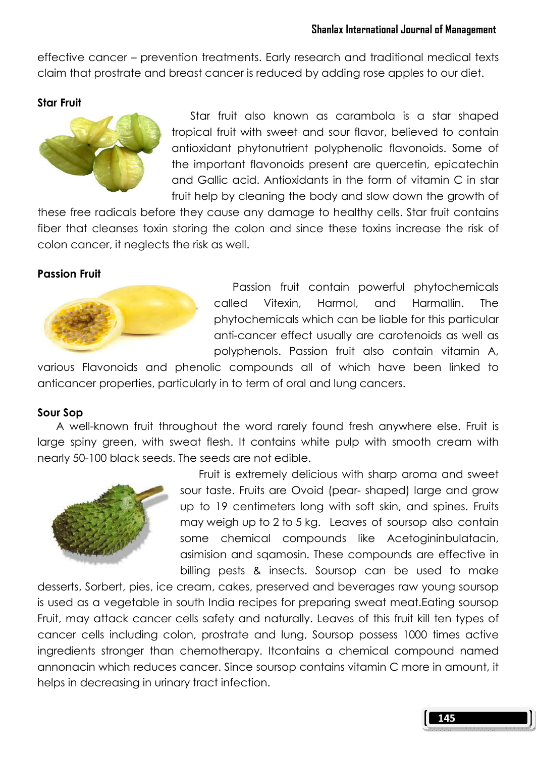effective cancer – prevention treatments. Early research and traditional medical texts claim that prostrate and breast cancer is reduced by adding rose apples to our diet.

## Star Fruit



Star fruit also known as carambola is a star shaped tropical fruit with sweet and sour flavor, believed to contain antioxidant phytonutrient polyphenolic flavonoids. Some of the important flavonoids present are quercetin, epicatechin and Gallic acid. Antioxidants in the form of vitamin C in star fruit help by cleaning the body and slow down the growth of

these free radicals before they cause any damage to healthy cells. Star fruit contains fiber that cleanses toxin storing the colon and since these toxins increase the risk of colon cancer, it neglects the risk as well.

## Passion Fruit



Passion fruit contain powerful phytochemicals called Vitexin, Harmol, and Harmallin. The phytochemicals which can be liable for this particular anti-cancer effect usually are carotenoids as well as polyphenols. Passion fruit also contain vitamin A,

various Flavonoids and phenolic compounds all of which have been linked to anticancer properties, particularly in to term of oral and lung cancers.

## Sour Sop

 A well-known fruit throughout the word rarely found fresh anywhere else. Fruit is large spiny green, with sweat flesh. It contains white pulp with smooth cream with nearly 50-100 black seeds. The seeds are not edible.



Fruit is extremely delicious with sharp aroma and sweet sour taste. Fruits are Ovoid (pear- shaped) large and grow up to 19 centimeters long with soft skin, and spines. Fruits may weigh up to 2 to 5 kg. Leaves of soursop also contain some chemical compounds like Acetogininbulatacin, asimision and sqamosin. These compounds are effective in billing pests & insects. Soursop can be used to make

desserts, Sorbert, pies, ice cream, cakes, preserved and beverages raw young soursop is used as a vegetable in south India recipes for preparing sweat meat.Eating soursop Fruit, may attack cancer cells safety and naturally. Leaves of this fruit kill ten types of cancer cells including colon, prostrate and lung, Soursop possess 1000 times active ingredients stronger than chemotherapy. Itcontains a chemical compound named annonacin which reduces cancer. Since soursop contains vitamin C more in amount, it helps in decreasing in urinary tract infection.